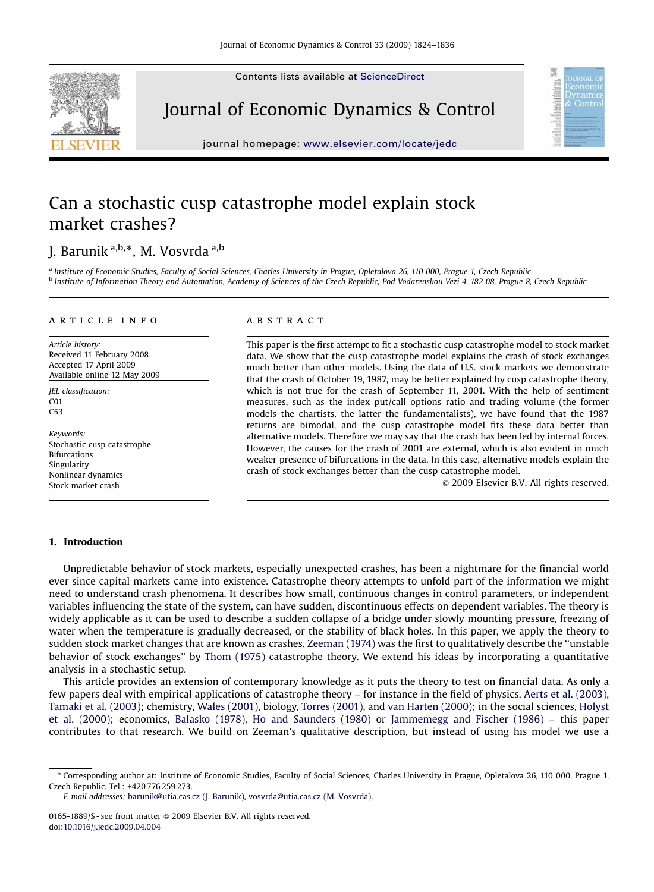Contents lists available at [ScienceDirect](www.sciencedirect.com/science/journal/dyncon)



Journal of Economic Dynamics & Control



journal homepage: <www.elsevier.com/locate/jedc>

## Can a stochastic cusp catastrophe model explain stock market crashes?

### J. Barunik <sup>a,b,</sup>\*, M. Vosvrda <sup>a,b</sup>

<sup>a</sup> Institute of Economic Studies, Faculty of Social Sciences, Charles University in Prague, Opletalova 26, 110 000, Prague 1, Czech Republic <sup>b</sup> Institute of Information Theory and Automation, Academy of Sciences of the Czech Republic, Pod Vodarenskou Vezi 4, 182 08, Prague 8, Czech Republic

#### article info

Article history: Received 11 February 2008 Accepted 17 April 2009 Available online 12 May 2009

JEL classification: C01 C53

Keywords: Stochastic cusp catastrophe Bifurcations Singularity Nonlinear dynamics Stock market crash

#### **ABSTRACT**

This paper is the first attempt to fit a stochastic cusp catastrophe model to stock market data. We show that the cusp catastrophe model explains the crash of stock exchanges much better than other models. Using the data of U.S. stock markets we demonstrate that the crash of October 19, 1987, may be better explained by cusp catastrophe theory, which is not true for the crash of September 11, 2001. With the help of sentiment measures, such as the index put/call options ratio and trading volume (the former models the chartists, the latter the fundamentalists), we have found that the 1987 returns are bimodal, and the cusp catastrophe model fits these data better than alternative models. Therefore we may say that the crash has been led by internal forces. However, the causes for the crash of 2001 are external, which is also evident in much weaker presence of bifurcations in the data. In this case, alternative models explain the crash of stock exchanges better than the cusp catastrophe model.

 $\odot$  2009 Elsevier B.V. All rights reserved.

#### 1. Introduction

Unpredictable behavior of stock markets, especially unexpected crashes, has been a nightmare for the financial world ever since capital markets came into existence. Catastrophe theory attempts to unfold part of the information we might need to understand crash phenomena. It describes how small, continuous changes in control parameters, or independent variables influencing the state of the system, can have sudden, discontinuous effects on dependent variables. The theory is widely applicable as it can be used to describe a sudden collapse of a bridge under slowly mounting pressure, freezing of water when the temperature is gradually decreased, or the stability of black holes. In this paper, we apply the theory to sudden stock market changes that are known as crashes. [Zeeman \(1974\)](#page--1-0) was the first to qualitatively describe the ''unstable behavior of stock exchanges'' by [Thom \(1975\)](#page--1-0) catastrophe theory. We extend his ideas by incorporating a quantitative analysis in a stochastic setup.

This article provides an extension of contemporary knowledge as it puts the theory to test on financial data. As only a few papers deal with empirical applications of catastrophe theory – for instance in the field of physics, [Aerts et al. \(2003\)](#page--1-0), [Tamaki et al. \(2003\)](#page--1-0); chemistry, [Wales \(2001\),](#page--1-0) biology, [Torres \(2001\)](#page--1-0), and [van Harten \(2000\)](#page--1-0); in the social sciences, [Holyst](#page--1-0) [et al. \(2000\);](#page--1-0) economics, [Balasko \(1978\)](#page--1-0), [Ho and Saunders \(1980\)](#page--1-0) or [Jammemegg and Fischer \(1986\)](#page--1-0) – this paper contributes to that research. We build on Zeeman's qualitative description, but instead of using his model we use a

E-mail addresses: [barunik@utia.cas.cz \(J. Barunik\)](mailto:barunik@utia.cas.cz), [vosvrda@utia.cas.cz \(M. Vosvrda\)](mailto:vosvrda@utia.cas.cz).

<sup>-</sup> Corresponding author at: Institute of Economic Studies, Faculty of Social Sciences, Charles University in Prague, Opletalova 26, 110 000, Prague 1, Czech Republic. Tel.: +420 776 259 273.

<sup>0165-1889/\$ -</sup> see front matter  $\circ$  2009 Elsevier B.V. All rights reserved. doi:[10.1016/j.jedc.2009.04.004](dx.doi.org/10.1016/j.jedc.2009.04.004)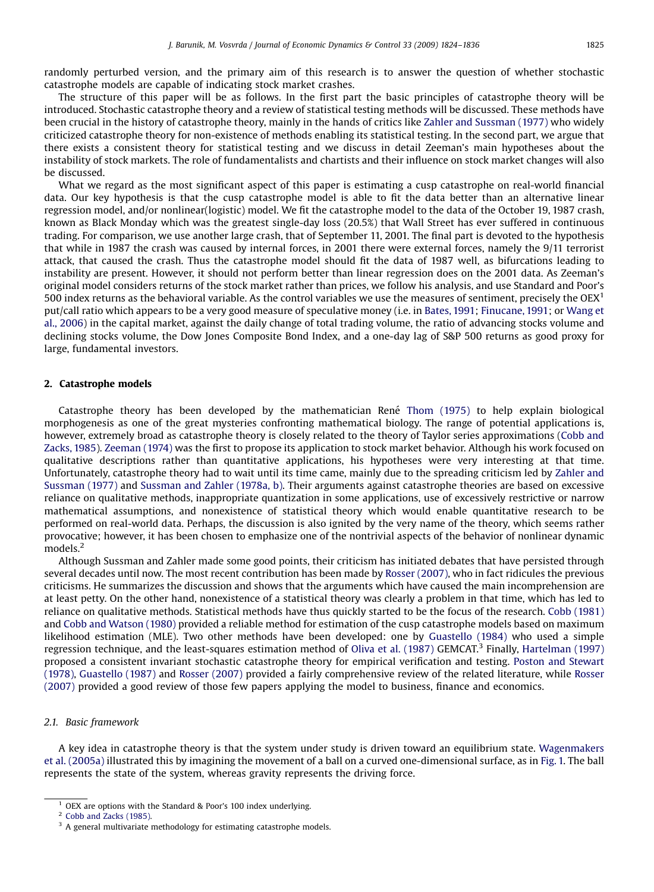The structure of this paper will be as follows. In the first part the basic principles of catastrophe theory will be introduced. Stochastic catastrophe theory and a review of statistical testing methods will be discussed. These methods have been crucial in the history of catastrophe theory, mainly in the hands of critics like [Zahler and Sussman \(1977\)](#page--1-0) who widely criticized catastrophe theory for non-existence of methods enabling its statistical testing. In the second part, we argue that there exists a consistent theory for statistical testing and we discuss in detail Zeeman's main hypotheses about the instability of stock markets. The role of fundamentalists and chartists and their influence on stock market changes will also be discussed.

What we regard as the most significant aspect of this paper is estimating a cusp catastrophe on real-world financial data. Our key hypothesis is that the cusp catastrophe model is able to fit the data better than an alternative linear regression model, and/or nonlinear(logistic) model. We fit the catastrophe model to the data of the October 19, 1987 crash, known as Black Monday which was the greatest single-day loss (20.5%) that Wall Street has ever suffered in continuous trading. For comparison, we use another large crash, that of September 11, 2001. The final part is devoted to the hypothesis that while in 1987 the crash was caused by internal forces, in 2001 there were external forces, namely the 9/11 terrorist attack, that caused the crash. Thus the catastrophe model should fit the data of 1987 well, as bifurcations leading to instability are present. However, it should not perform better than linear regression does on the 2001 data. As Zeeman's original model considers returns of the stock market rather than prices, we follow his analysis, and use Standard and Poor's 500 index returns as the behavioral variable. As the control variables we use the measures of sentiment, precisely the  $OEX<sup>1</sup>$ put/call ratio which appears to be a very good measure of speculative money (i.e. in [Bates, 1991;](#page--1-0) [Finucane, 1991;](#page--1-0) or [Wang et](#page--1-0) [al., 2006](#page--1-0)) in the capital market, against the daily change of total trading volume, the ratio of advancing stocks volume and declining stocks volume, the Dow Jones Composite Bond Index, and a one-day lag of S&P 500 returns as good proxy for large, fundamental investors.

#### 2. Catastrophe models

Catastrophe theory has been developed by the mathematician René [Thom \(1975\)](#page--1-0) to help explain biological morphogenesis as one of the great mysteries confronting mathematical biology. The range of potential applications is, however, extremely broad as catastrophe theory is closely related to the theory of Taylor series approximations [\(Cobb and](#page--1-0) [Zacks, 1985](#page--1-0)). [Zeeman \(1974\)](#page--1-0) was the first to propose its application to stock market behavior. Although his work focused on qualitative descriptions rather than quantitative applications, his hypotheses were very interesting at that time. Unfortunately, catastrophe theory had to wait until its time came, mainly due to the spreading criticism led by [Zahler and](#page--1-0) [Sussman \(1977\)](#page--1-0) and [Sussman and Zahler \(1978a, b\)](#page--1-0). Their arguments against catastrophe theories are based on excessive reliance on qualitative methods, inappropriate quantization in some applications, use of excessively restrictive or narrow mathematical assumptions, and nonexistence of statistical theory which would enable quantitative research to be performed on real-world data. Perhaps, the discussion is also ignited by the very name of the theory, which seems rather provocative; however, it has been chosen to emphasize one of the nontrivial aspects of the behavior of nonlinear dynamic models.<sup>2</sup>

Although Sussman and Zahler made some good points, their criticism has initiated debates that have persisted through several decades until now. The most recent contribution has been made by [Rosser \(2007\),](#page--1-0) who in fact ridicules the previous criticisms. He summarizes the discussion and shows that the arguments which have caused the main incomprehension are at least petty. On the other hand, nonexistence of a statistical theory was clearly a problem in that time, which has led to reliance on qualitative methods. Statistical methods have thus quickly started to be the focus of the research. [Cobb \(1981\)](#page--1-0) and [Cobb and Watson \(1980\)](#page--1-0) provided a reliable method for estimation of the cusp catastrophe models based on maximum likelihood estimation (MLE). Two other methods have been developed: one by [Guastello \(1984\)](#page--1-0) who used a simple regression technique, and the least-squares estimation method of [Oliva et al. \(1987\)](#page--1-0) GEMCAT.<sup>3</sup> Finally, [Hartelman \(1997\)](#page--1-0) proposed a consistent invariant stochastic catastrophe theory for empirical verification and testing. [Poston and Stewart](#page--1-0) [\(1978\),](#page--1-0) [Guastello \(1987\)](#page--1-0) and [Rosser \(2007\)](#page--1-0) provided a fairly comprehensive review of the related literature, while [Rosser](#page--1-0) [\(2007\)](#page--1-0) provided a good review of those few papers applying the model to business, finance and economics.

#### 2.1. Basic framework

A key idea in catastrophe theory is that the system under study is driven toward an equilibrium state. [Wagenmakers](#page--1-0) [et al. \(2005a\)](#page--1-0) illustrated this by imagining the movement of a ball on a curved one-dimensional surface, as in [Fig. 1.](#page--1-0) The ball represents the state of the system, whereas gravity represents the driving force.

OEX are options with the Standard & Poor's 100 index underlying.

<sup>2</sup> [Cobb and Zacks \(1985\)](#page--1-0).

 $3$  A general multivariate methodology for estimating catastrophe models.